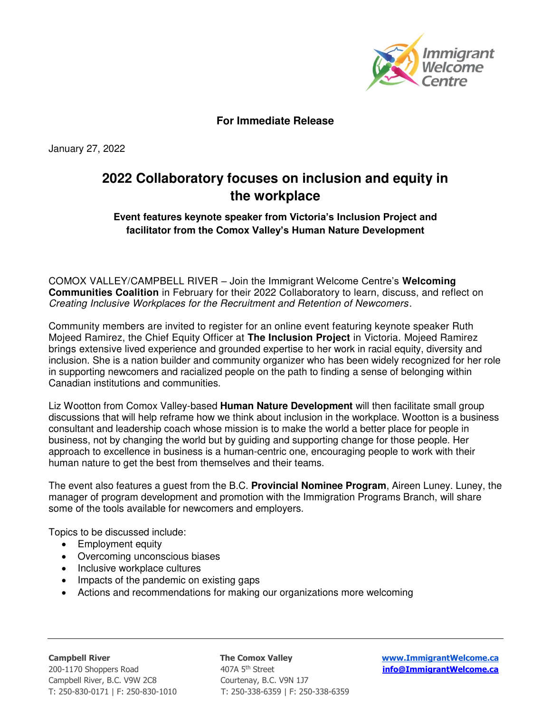

### **For Immediate Release**

January 27, 2022

# **2022 Collaboratory focuses on inclusion and equity in the workplace**

## **Event features keynote speaker from Victoria's Inclusion Project and facilitator from the Comox Valley's Human Nature Development**

COMOX VALLEY/CAMPBELL RIVER – Join the Immigrant Welcome Centre's **Welcoming Communities Coalition** in February for their 2022 Collaboratory to learn, discuss, and reflect on Creating Inclusive Workplaces for the Recruitment and Retention of Newcomers.

Community members are invited to register for an online event featuring keynote speaker Ruth Mojeed Ramirez, the Chief Equity Officer at **The Inclusion Project** in Victoria. Mojeed Ramirez brings extensive lived experience and grounded expertise to her work in racial equity, diversity and inclusion. She is a nation builder and community organizer who has been widely recognized for her role in supporting newcomers and racialized people on the path to finding a sense of belonging within Canadian institutions and communities.

Liz Wootton from Comox Valley-based **Human Nature Development** will then facilitate small group discussions that will help reframe how we think about inclusion in the workplace. Wootton is a business consultant and leadership coach whose mission is to make the world a better place for people in business, not by changing the world but by guiding and supporting change for those people. Her approach to excellence in business is a human-centric one, encouraging people to work with their human nature to get the best from themselves and their teams.

The event also features a guest from the B.C. **Provincial Nominee Program**, Aireen Luney. Luney, the manager of program development and promotion with the Immigration Programs Branch, will share some of the tools available for newcomers and employers.

Topics to be discussed include:

- Employment equity
- Overcoming unconscious biases
- Inclusive workplace cultures
- Impacts of the pandemic on existing gaps
- Actions and recommendations for making our organizations more welcoming

Campbell River, B.C. V9W 2C8 Courtenay, B.C. V9N 1J7 T: 250-830-0171 | F: 250-830-1010 T: 250-338-6359 | F: 250-338-6359

**Campbell River The Comox Valley [www.ImmigrantWelcome.ca](http://www.immigrantwelcome.ca/)** 200-1170 Shoppers Road 407A 5th Street **[info@ImmigrantWelcome.ca](mailto:info@ImmigrantWelcome.ca)**